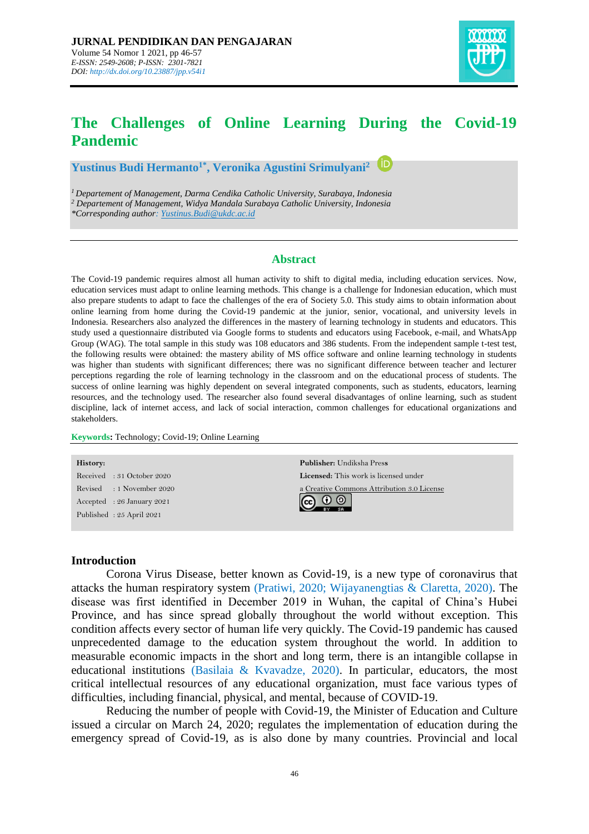

# **The Challenges of Online Learning During the Covid-19 Pandemic**

**Yustinus Budi Hermanto1\* , Veronika Agustini Srimulyani<sup>2</sup>**

*<sup>1</sup> Departement of Management, Darma Cendika Catholic University, Surabaya, Indonesia <sup>2</sup> Departement of Management, Widya Mandala Surabaya Catholic University, Indonesia \*Corresponding author: Yustinus.Budi@ukdc.ac.id*

### **Abstract**

The Covid-19 pandemic requires almost all human activity to shift to digital media, including education services. Now, education services must adapt to online learning methods. This change is a challenge for Indonesian education, which must also prepare students to adapt to face the challenges of the era of Society 5.0. This study aims to obtain information about online learning from home during the Covid-19 pandemic at the junior, senior, vocational, and university levels in Indonesia. Researchers also analyzed the differences in the mastery of learning technology in students and educators. This study used a questionnaire distributed via Google forms to students and educators using Facebook, e-mail, and WhatsApp Group (WAG). The total sample in this study was 108 educators and 386 students. From the independent sample t-test test, the following results were obtained: the mastery ability of MS office software and online learning technology in students was higher than students with significant differences; there was no significant difference between teacher and lecturer perceptions regarding the role of learning technology in the classroom and on the educational process of students. The success of online learning was highly dependent on several integrated components, such as students, educators, learning resources, and the technology used. The researcher also found several disadvantages of online learning, such as student discipline, lack of internet access, and lack of social interaction, common challenges for educational organizations and stakeholders.

#### **Keywords:** Technology; Covid-19; Online Learning

| <b>History:</b>            | Publisher: Undiksha Press                  |
|----------------------------|--------------------------------------------|
| Received: 31 October 2020  | Licensed: This work is licensed under      |
| Revised : 1 November 2020  | a Creative Commons Attribution 3.0 License |
| Accepted : 26 January 2021 | $\odot$ $\odot$                            |
| Published: 25 April 2021   |                                            |
|                            |                                            |

### **Introduction**

Corona Virus Disease, better known as Covid-19, is a new type of coronavirus that attacks the human respiratory system (Pratiwi, 2020; Wijayanengtias & Claretta, 2020). The disease was first identified in December 2019 in Wuhan, the capital of China's Hubei Province, and has since spread globally throughout the world without exception. This condition affects every sector of human life very quickly. The Covid-19 pandemic has caused unprecedented damage to the education system throughout the world. In addition to measurable economic impacts in the short and long term, there is an intangible collapse in educational institutions (Basilaia & Kvavadze, 2020). In particular, educators, the most critical intellectual resources of any educational organization, must face various types of difficulties, including financial, physical, and mental, because of COVID-19.

Reducing the number of people with Covid-19, the Minister of Education and Culture issued a circular on March 24, 2020; regulates the implementation of education during the emergency spread of Covid-19, as is also done by many countries. Provincial and local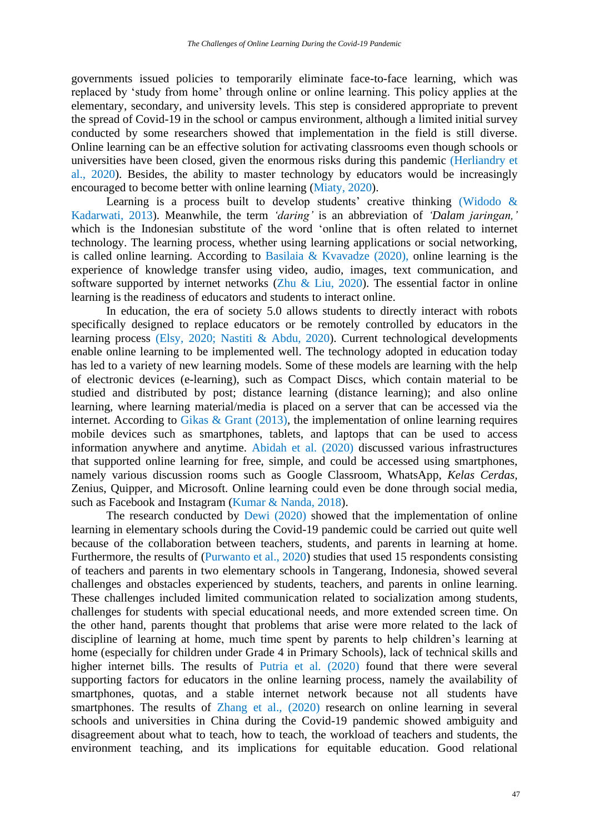governments issued policies to temporarily eliminate face-to-face learning, which was replaced by 'study from home' through online or online learning. This policy applies at the elementary, secondary, and university levels. This step is considered appropriate to prevent the spread of Covid-19 in the school or campus environment, although a limited initial survey conducted by some researchers showed that implementation in the field is still diverse. Online learning can be an effective solution for activating classrooms even though schools or universities have been closed, given the enormous risks during this pandemic (Herliandry et al., 2020). Besides, the ability to master technology by educators would be increasingly encouraged to become better with online learning (Miaty, 2020).

Learning is a process built to develop students' creative thinking (Widodo  $\&$ Kadarwati, 2013). Meanwhile, the term *'daring'* is an abbreviation of *'Dalam jaringan,'* which is the Indonesian substitute of the word 'online that is often related to internet technology. The learning process, whether using learning applications or social networking, is called online learning. According to Basilaia & Kvavadze (2020), online learning is the experience of knowledge transfer using video, audio, images, text communication, and software supported by internet networks (Zhu & Liu, 2020). The essential factor in online learning is the readiness of educators and students to interact online.

In education, the era of society 5.0 allows students to directly interact with robots specifically designed to replace educators or be remotely controlled by educators in the learning process (Elsy, 2020; Nastiti & Abdu, 2020). Current technological developments enable online learning to be implemented well. The technology adopted in education today has led to a variety of new learning models. Some of these models are learning with the help of electronic devices (e-learning), such as Compact Discs, which contain material to be studied and distributed by post; distance learning (distance learning); and also online learning, where learning material/media is placed on a server that can be accessed via the internet. According to Gikas & Grant (2013), the implementation of online learning requires mobile devices such as smartphones, tablets, and laptops that can be used to access information anywhere and anytime. Abidah et al. (2020) discussed various infrastructures that supported online learning for free, simple, and could be accessed using smartphones, namely various discussion rooms such as Google Classroom, WhatsApp, *Kelas Cerdas,* Zenius, Quipper, and Microsoft. Online learning could even be done through social media, such as Facebook and Instagram (Kumar & Nanda, 2018).

The research conducted by Dewi (2020) showed that the implementation of online learning in elementary schools during the Covid-19 pandemic could be carried out quite well because of the collaboration between teachers, students, and parents in learning at home. Furthermore, the results of (Purwanto et al., 2020) studies that used 15 respondents consisting of teachers and parents in two elementary schools in Tangerang, Indonesia, showed several challenges and obstacles experienced by students, teachers, and parents in online learning. These challenges included limited communication related to socialization among students, challenges for students with special educational needs, and more extended screen time. On the other hand, parents thought that problems that arise were more related to the lack of discipline of learning at home, much time spent by parents to help children's learning at home (especially for children under Grade 4 in Primary Schools), lack of technical skills and higher internet bills. The results of Putria et al. (2020) found that there were several supporting factors for educators in the online learning process, namely the availability of smartphones, quotas, and a stable internet network because not all students have smartphones. The results of Zhang et al., (2020) research on online learning in several schools and universities in China during the Covid-19 pandemic showed ambiguity and disagreement about what to teach, how to teach, the workload of teachers and students, the environment teaching, and its implications for equitable education. Good relational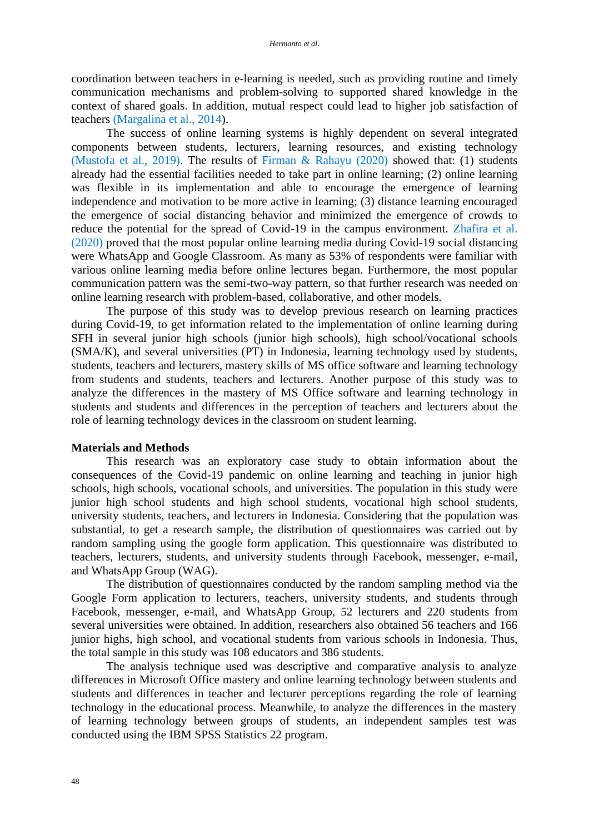coordination between teachers in e-learning is needed, such as providing routine and timely communication mechanisms and problem-solving to supported shared knowledge in the context of shared goals. In addition, mutual respect could lead to higher job satisfaction of teachers (Margalina et al., 2014).

The success of online learning systems is highly dependent on several integrated components between students, lecturers, learning resources, and existing technology (Mustofa et al., 2019). The results of Firman & Rahayu (2020) showed that: (1) students already had the essential facilities needed to take part in online learning; (2) online learning was flexible in its implementation and able to encourage the emergence of learning independence and motivation to be more active in learning; (3) distance learning encouraged the emergence of social distancing behavior and minimized the emergence of crowds to reduce the potential for the spread of Covid-19 in the campus environment. Zhafira et al. (2020) proved that the most popular online learning media during Covid-19 social distancing were WhatsApp and Google Classroom. As many as 53% of respondents were familiar with various online learning media before online lectures began. Furthermore, the most popular communication pattern was the semi-two-way pattern, so that further research was needed on online learning research with problem-based, collaborative, and other models.

The purpose of this study was to develop previous research on learning practices during Covid-19, to get information related to the implementation of online learning during SFH in several junior high schools (junior high schools), high school/vocational schools (SMA/K), and several universities (PT) in Indonesia, learning technology used by students, students, teachers and lecturers, mastery skills of MS office software and learning technology from students and students, teachers and lecturers. Another purpose of this study was to analyze the differences in the mastery of MS Office software and learning technology in students and students and differences in the perception of teachers and lecturers about the role of learning technology devices in the classroom on student learning.

#### **Materials and Methods**

This research was an exploratory case study to obtain information about the consequences of the Covid-19 pandemic on online learning and teaching in junior high schools, high schools, vocational schools, and universities. The population in this study were junior high school students and high school students, vocational high school students, university students, teachers, and lecturers in Indonesia. Considering that the population was substantial, to get a research sample, the distribution of questionnaires was carried out by random sampling using the google form application. This questionnaire was distributed to teachers, lecturers, students, and university students through Facebook, messenger, e-mail, and WhatsApp Group (WAG).

The distribution of questionnaires conducted by the random sampling method via the Google Form application to lecturers, teachers, university students, and students through Facebook, messenger, e-mail, and WhatsApp Group, 52 lecturers and 220 students from several universities were obtained. In addition, researchers also obtained 56 teachers and 166 junior highs, high school, and vocational students from various schools in Indonesia. Thus, the total sample in this study was 108 educators and 386 students.

The analysis technique used was descriptive and comparative analysis to analyze differences in Microsoft Office mastery and online learning technology between students and students and differences in teacher and lecturer perceptions regarding the role of learning technology in the educational process. Meanwhile, to analyze the differences in the mastery of learning technology between groups of students, an independent samples test was conducted using the IBM SPSS Statistics 22 program.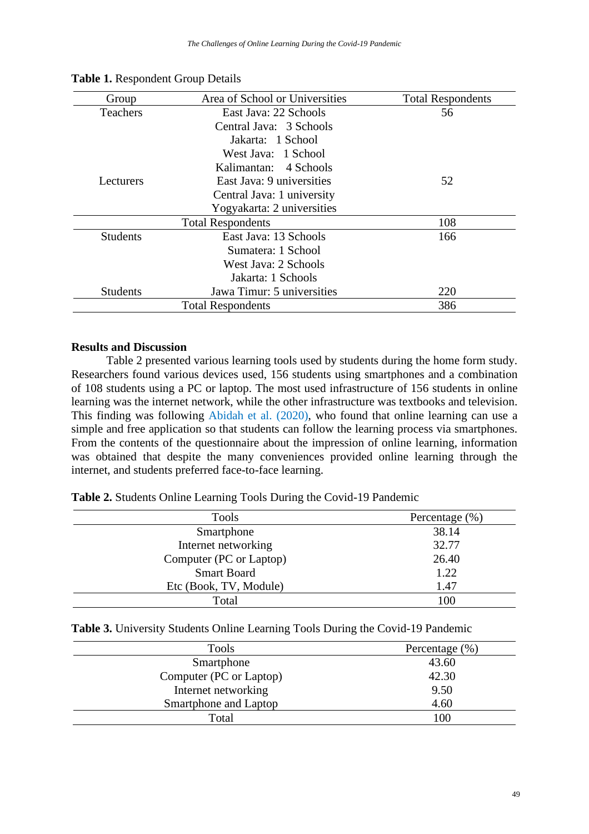| Group           | Area of School or Universities | <b>Total Respondents</b> |
|-----------------|--------------------------------|--------------------------|
| <b>Teachers</b> | East Java: 22 Schools          | 56                       |
|                 | Central Java: 3 Schools        |                          |
|                 | Jakarta: 1 School              |                          |
|                 | West Java: 1 School            |                          |
|                 | Kalimantan: 4 Schools          |                          |
| Lecturers       | East Java: 9 universities      | 52                       |
|                 | Central Java: 1 university     |                          |
|                 | Yogyakarta: 2 universities     |                          |
|                 | <b>Total Respondents</b>       | 108                      |
| <b>Students</b> | East Java: 13 Schools          | 166                      |
|                 | Sumatera: 1 School             |                          |
|                 | West Java: 2 Schools           |                          |
|                 | Jakarta: 1 Schools             |                          |
| <b>Students</b> | Jawa Timur: 5 universities     | 220                      |
|                 | <b>Total Respondents</b>       | 386                      |

**Table 1.** Respondent Group Details

## **Results and Discussion**

Table 2 presented various learning tools used by students during the home form study. Researchers found various devices used, 156 students using smartphones and a combination of 108 students using a PC or laptop. The most used infrastructure of 156 students in online learning was the internet network, while the other infrastructure was textbooks and television. This finding was following Abidah et al. (2020), who found that online learning can use a simple and free application so that students can follow the learning process via smartphones. From the contents of the questionnaire about the impression of online learning, information was obtained that despite the many conveniences provided online learning through the internet, and students preferred face-to-face learning.

|  | <b>Table 2.</b> Students Online Learning Tools During the Covid-19 Pandemic |
|--|-----------------------------------------------------------------------------|
|--|-----------------------------------------------------------------------------|

| Tools                   | Percentage $(\% )$ |
|-------------------------|--------------------|
| Smartphone              | 38.14              |
| Internet networking     | 32.77              |
| Computer (PC or Laptop) | 26.40              |
| <b>Smart Board</b>      | 1.22               |
| Etc (Book, TV, Module)  | 1.47               |
| Total                   | 100                |

# **Table 3.** University Students Online Learning Tools During the Covid-19 Pandemic

| Tools                   | Percentage $(\% )$ |
|-------------------------|--------------------|
| Smartphone              | 43.60              |
| Computer (PC or Laptop) | 42.30              |
| Internet networking     | 9.50               |
| Smartphone and Laptop   | 4.60               |
| Total                   | 100                |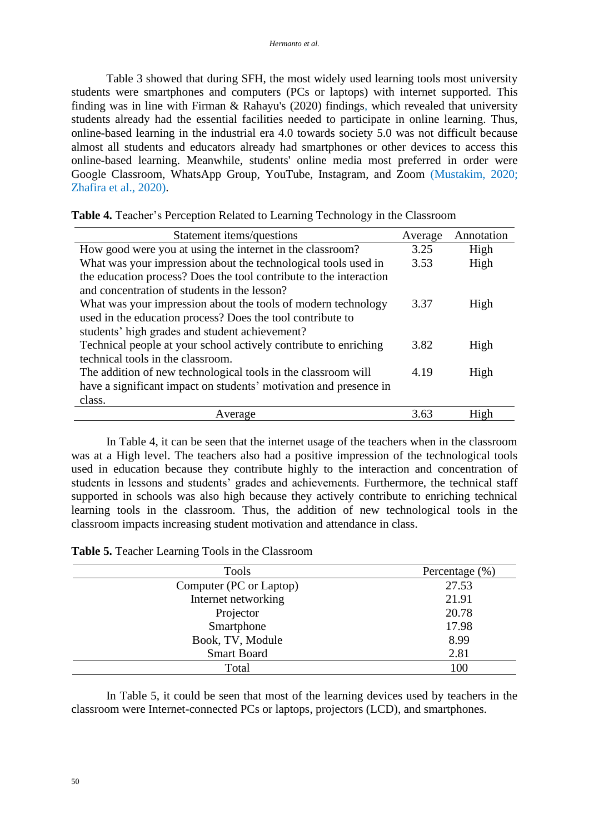Table 3 showed that during SFH, the most widely used learning tools most university students were smartphones and computers (PCs or laptops) with internet supported. This finding was in line with Firman & Rahayu's (2020) findings, which revealed that university students already had the essential facilities needed to participate in online learning. Thus, online-based learning in the industrial era 4.0 towards society 5.0 was not difficult because almost all students and educators already had smartphones or other devices to access this online-based learning. Meanwhile, students' online media most preferred in order were Google Classroom, WhatsApp Group, YouTube, Instagram, and Zoom (Mustakim, 2020; Zhafira et al., 2020).

| Statement items/questions                                          | Average | Annotation |
|--------------------------------------------------------------------|---------|------------|
| How good were you at using the internet in the classroom?          | 3.25    | High       |
| What was your impression about the technological tools used in     | 3.53    | High       |
| the education process? Does the tool contribute to the interaction |         |            |
| and concentration of students in the lesson?                       |         |            |
| What was your impression about the tools of modern technology      | 3.37    | High       |
| used in the education process? Does the tool contribute to         |         |            |
| students' high grades and student achievement?                     |         |            |
| Technical people at your school actively contribute to enriching   | 3.82    | High       |
| technical tools in the classroom.                                  |         |            |
| The addition of new technological tools in the classroom will      | 4.19    | High       |
| have a significant impact on students' motivation and presence in  |         |            |
| class.                                                             |         |            |
| Average                                                            | 3.63    | High       |

**Table 4.** Teacher's Perception Related to Learning Technology in the Classroom

In Table 4, it can be seen that the internet usage of the teachers when in the classroom was at a High level. The teachers also had a positive impression of the technological tools used in education because they contribute highly to the interaction and concentration of students in lessons and students' grades and achievements. Furthermore, the technical staff supported in schools was also high because they actively contribute to enriching technical learning tools in the classroom. Thus, the addition of new technological tools in the classroom impacts increasing student motivation and attendance in class.

| <b>Tools</b>            | Percentage (%) |
|-------------------------|----------------|
| Computer (PC or Laptop) | 27.53          |
| Internet networking     | 21.91          |
| Projector               | 20.78          |
| Smartphone              | 17.98          |
| Book, TV, Module        | 8.99           |
| <b>Smart Board</b>      | 2.81           |
| Total                   | 100            |

In Table 5, it could be seen that most of the learning devices used by teachers in the classroom were Internet-connected PCs or laptops, projectors (LCD), and smartphones.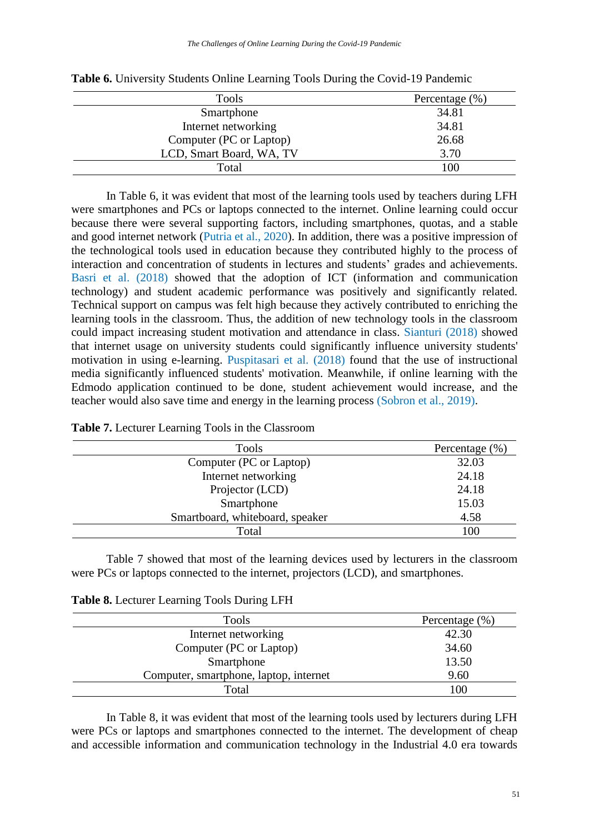| <b>Tools</b>             | Percentage $(\% )$ |
|--------------------------|--------------------|
| Smartphone               | 34.81              |
| Internet networking      | 34.81              |
| Computer (PC or Laptop)  | 26.68              |
| LCD, Smart Board, WA, TV | 3.70               |
| Total                    | 100                |

**Table 6.** University Students Online Learning Tools During the Covid-19 Pandemic

In Table 6, it was evident that most of the learning tools used by teachers during LFH were smartphones and PCs or laptops connected to the internet. Online learning could occur because there were several supporting factors, including smartphones, quotas, and a stable and good internet network (Putria et al., 2020). In addition, there was a positive impression of the technological tools used in education because they contributed highly to the process of interaction and concentration of students in lectures and students' grades and achievements. Basri et al. (2018) showed that the adoption of ICT (information and communication technology) and student academic performance was positively and significantly related. Technical support on campus was felt high because they actively contributed to enriching the learning tools in the classroom. Thus, the addition of new technology tools in the classroom could impact increasing student motivation and attendance in class. Sianturi (2018) showed that internet usage on university students could significantly influence university students' motivation in using e-learning. Puspitasari et al. (2018) found that the use of instructional media significantly influenced students' motivation. Meanwhile, if online learning with the Edmodo application continued to be done, student achievement would increase, and the teacher would also save time and energy in the learning process (Sobron et al., 2019).

| <b>Tools</b>                    | Percentage $(\% )$ |
|---------------------------------|--------------------|
| Computer (PC or Laptop)         | 32.03              |
| Internet networking             | 24.18              |
| Projector (LCD)                 | 24.18              |
| Smartphone                      | 15.03              |
| Smartboard, whiteboard, speaker | 4.58               |
| Total                           | 100                |

**Table 7.** Lecturer Learning Tools in the Classroom

Table 7 showed that most of the learning devices used by lecturers in the classroom were PCs or laptops connected to the internet, projectors (LCD), and smartphones.

| Table 8. Lecturer Learning Tools During LFH |  |  |
|---------------------------------------------|--|--|
|---------------------------------------------|--|--|

| <b>Tools</b>                           | Percentage $(\% )$ |
|----------------------------------------|--------------------|
| Internet networking                    | 42.30              |
| Computer (PC or Laptop)                | 34.60              |
| Smartphone                             | 13.50              |
| Computer, smartphone, laptop, internet | 9.60               |
| Total                                  | 100                |

In Table 8, it was evident that most of the learning tools used by lecturers during LFH were PCs or laptops and smartphones connected to the internet. The development of cheap and accessible information and communication technology in the Industrial 4.0 era towards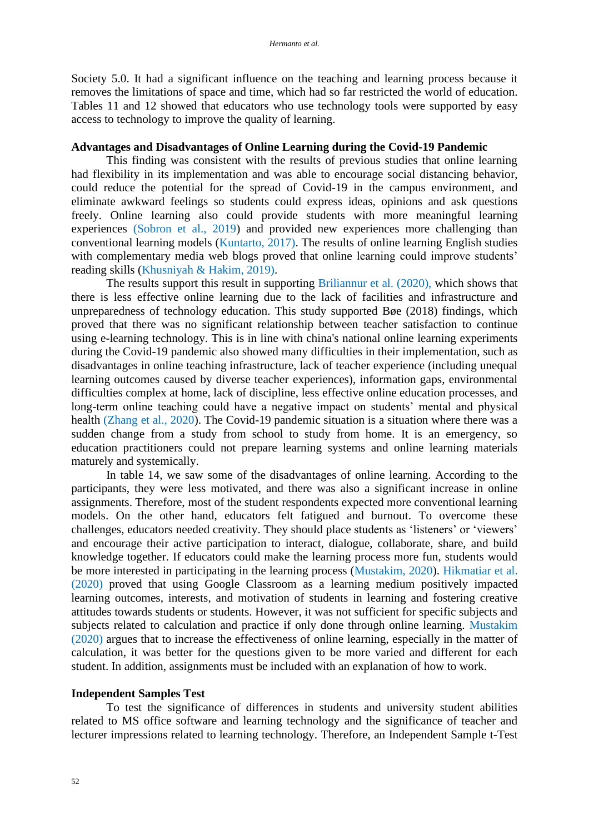Society 5.0. It had a significant influence on the teaching and learning process because it removes the limitations of space and time, which had so far restricted the world of education. Tables 11 and 12 showed that educators who use technology tools were supported by easy access to technology to improve the quality of learning.

## **Advantages and Disadvantages of Online Learning during the Covid-19 Pandemic**

This finding was consistent with the results of previous studies that online learning had flexibility in its implementation and was able to encourage social distancing behavior, could reduce the potential for the spread of Covid-19 in the campus environment, and eliminate awkward feelings so students could express ideas, opinions and ask questions freely. Online learning also could provide students with more meaningful learning experiences (Sobron et al., 2019) and provided new experiences more challenging than conventional learning models (Kuntarto, 2017). The results of online learning English studies with complementary media web blogs proved that online learning could improve students' reading skills (Khusniyah & Hakim, 2019).

The results support this result in supporting Briliannur et al. (2020), which shows that there is less effective online learning due to the lack of facilities and infrastructure and unpreparedness of technology education. This study supported Bøe (2018) findings, which proved that there was no significant relationship between teacher satisfaction to continue using e-learning technology. This is in line with china's national online learning experiments during the Covid-19 pandemic also showed many difficulties in their implementation, such as disadvantages in online teaching infrastructure, lack of teacher experience (including unequal learning outcomes caused by diverse teacher experiences), information gaps, environmental difficulties complex at home, lack of discipline, less effective online education processes, and long-term online teaching could have a negative impact on students' mental and physical health (Zhang et al., 2020). The Covid-19 pandemic situation is a situation where there was a sudden change from a study from school to study from home. It is an emergency, so education practitioners could not prepare learning systems and online learning materials maturely and systemically.

In table 14, we saw some of the disadvantages of online learning. According to the participants, they were less motivated, and there was also a significant increase in online assignments. Therefore, most of the student respondents expected more conventional learning models. On the other hand, educators felt fatigued and burnout. To overcome these challenges, educators needed creativity. They should place students as 'listeners' or 'viewers' and encourage their active participation to interact, dialogue, collaborate, share, and build knowledge together. If educators could make the learning process more fun, students would be more interested in participating in the learning process (Mustakim, 2020). Hikmatiar et al. (2020) proved that using Google Classroom as a learning medium positively impacted learning outcomes, interests, and motivation of students in learning and fostering creative attitudes towards students or students. However, it was not sufficient for specific subjects and subjects related to calculation and practice if only done through online learning. Mustakim (2020) argues that to increase the effectiveness of online learning, especially in the matter of calculation, it was better for the questions given to be more varied and different for each student. In addition, assignments must be included with an explanation of how to work.

#### **Independent Samples Test**

To test the significance of differences in students and university student abilities related to MS office software and learning technology and the significance of teacher and lecturer impressions related to learning technology. Therefore, an Independent Sample t-Test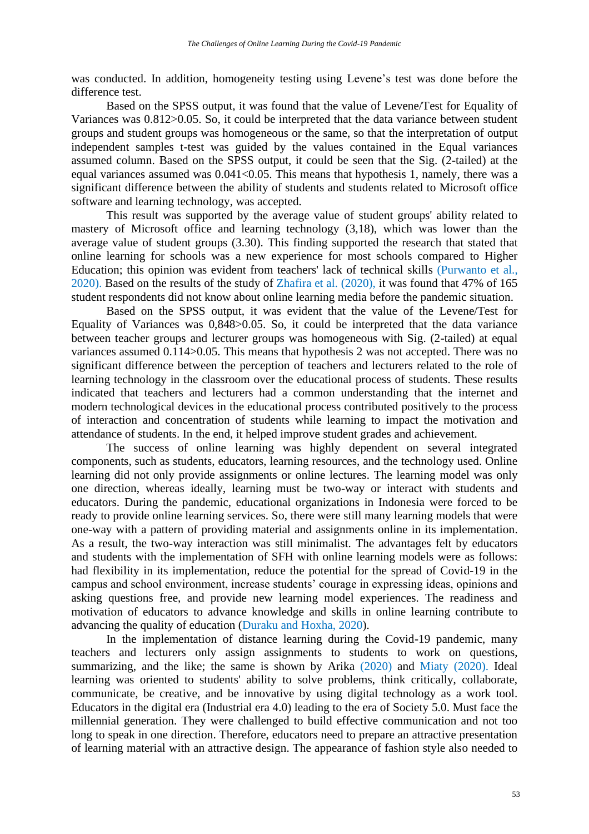was conducted. In addition, homogeneity testing using Levene's test was done before the difference test.

Based on the SPSS output, it was found that the value of Levene/Test for Equality of Variances was 0.812>0.05. So, it could be interpreted that the data variance between student groups and student groups was homogeneous or the same, so that the interpretation of output independent samples t-test was guided by the values contained in the Equal variances assumed column. Based on the SPSS output, it could be seen that the Sig. (2-tailed) at the equal variances assumed was  $0.041<0.05$ . This means that hypothesis 1, namely, there was a significant difference between the ability of students and students related to Microsoft office software and learning technology, was accepted.

This result was supported by the average value of student groups' ability related to mastery of Microsoft office and learning technology (3,18), which was lower than the average value of student groups (3.30). This finding supported the research that stated that online learning for schools was a new experience for most schools compared to Higher Education; this opinion was evident from teachers' lack of technical skills (Purwanto et al., 2020). Based on the results of the study of Zhafira et al. (2020), it was found that 47% of 165 student respondents did not know about online learning media before the pandemic situation.

Based on the SPSS output, it was evident that the value of the Levene/Test for Equality of Variances was 0,848>0.05. So, it could be interpreted that the data variance between teacher groups and lecturer groups was homogeneous with Sig. (2-tailed) at equal variances assumed 0.114>0.05. This means that hypothesis 2 was not accepted. There was no significant difference between the perception of teachers and lecturers related to the role of learning technology in the classroom over the educational process of students. These results indicated that teachers and lecturers had a common understanding that the internet and modern technological devices in the educational process contributed positively to the process of interaction and concentration of students while learning to impact the motivation and attendance of students. In the end, it helped improve student grades and achievement.

The success of online learning was highly dependent on several integrated components, such as students, educators, learning resources, and the technology used. Online learning did not only provide assignments or online lectures. The learning model was only one direction, whereas ideally, learning must be two-way or interact with students and educators. During the pandemic, educational organizations in Indonesia were forced to be ready to provide online learning services. So, there were still many learning models that were one-way with a pattern of providing material and assignments online in its implementation. As a result, the two-way interaction was still minimalist. The advantages felt by educators and students with the implementation of SFH with online learning models were as follows: had flexibility in its implementation, reduce the potential for the spread of Covid-19 in the campus and school environment, increase students' courage in expressing ideas, opinions and asking questions free, and provide new learning model experiences. The readiness and motivation of educators to advance knowledge and skills in online learning contribute to advancing the quality of education (Duraku and Hoxha, 2020).

In the implementation of distance learning during the Covid-19 pandemic, many teachers and lecturers only assign assignments to students to work on questions, summarizing, and the like; the same is shown by Arika (2020) and Miaty (2020). Ideal learning was oriented to students' ability to solve problems, think critically, collaborate, communicate, be creative, and be innovative by using digital technology as a work tool. Educators in the digital era (Industrial era 4.0) leading to the era of Society 5.0. Must face the millennial generation. They were challenged to build effective communication and not too long to speak in one direction. Therefore, educators need to prepare an attractive presentation of learning material with an attractive design. The appearance of fashion style also needed to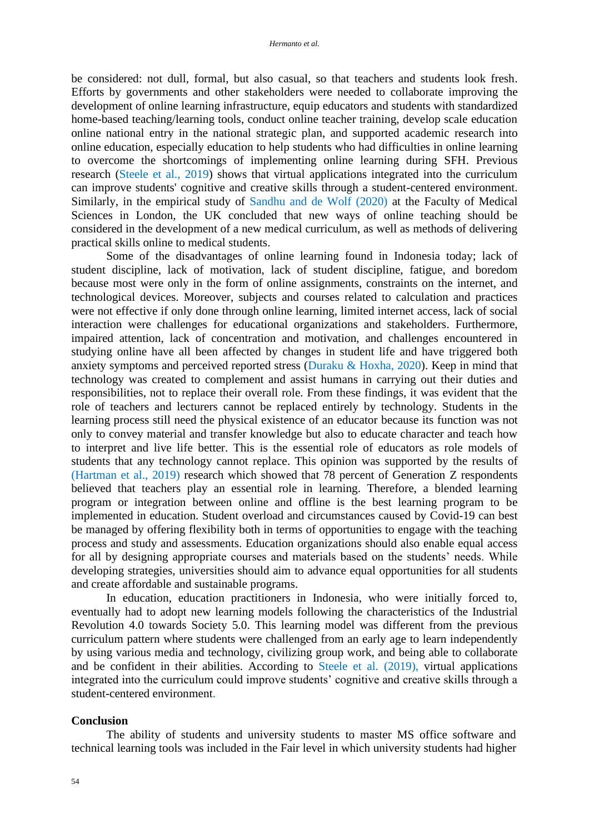be considered: not dull, formal, but also casual, so that teachers and students look fresh. Efforts by governments and other stakeholders were needed to collaborate improving the development of online learning infrastructure, equip educators and students with standardized home-based teaching/learning tools, conduct online teacher training, develop scale education online national entry in the national strategic plan, and supported academic research into online education, especially education to help students who had difficulties in online learning to overcome the shortcomings of implementing online learning during SFH. Previous research (Steele et al., 2019) shows that virtual applications integrated into the curriculum can improve students' cognitive and creative skills through a student-centered environment. Similarly, in the empirical study of Sandhu and de Wolf (2020) at the Faculty of Medical Sciences in London, the UK concluded that new ways of online teaching should be considered in the development of a new medical curriculum, as well as methods of delivering practical skills online to medical students.

Some of the disadvantages of online learning found in Indonesia today; lack of student discipline, lack of motivation, lack of student discipline, fatigue, and boredom because most were only in the form of online assignments, constraints on the internet, and technological devices. Moreover, subjects and courses related to calculation and practices were not effective if only done through online learning, limited internet access, lack of social interaction were challenges for educational organizations and stakeholders. Furthermore, impaired attention, lack of concentration and motivation, and challenges encountered in studying online have all been affected by changes in student life and have triggered both anxiety symptoms and perceived reported stress (Duraku & Hoxha, 2020). Keep in mind that technology was created to complement and assist humans in carrying out their duties and responsibilities, not to replace their overall role. From these findings, it was evident that the role of teachers and lecturers cannot be replaced entirely by technology. Students in the learning process still need the physical existence of an educator because its function was not only to convey material and transfer knowledge but also to educate character and teach how to interpret and live life better. This is the essential role of educators as role models of students that any technology cannot replace. This opinion was supported by the results of (Hartman et al., 2019) research which showed that 78 percent of Generation Z respondents believed that teachers play an essential role in learning. Therefore, a blended learning program or integration between online and offline is the best learning program to be implemented in education. Student overload and circumstances caused by Covid-19 can best be managed by offering flexibility both in terms of opportunities to engage with the teaching process and study and assessments. Education organizations should also enable equal access for all by designing appropriate courses and materials based on the students' needs. While developing strategies, universities should aim to advance equal opportunities for all students and create affordable and sustainable programs.

In education, education practitioners in Indonesia, who were initially forced to, eventually had to adopt new learning models following the characteristics of the Industrial Revolution 4.0 towards Society 5.0. This learning model was different from the previous curriculum pattern where students were challenged from an early age to learn independently by using various media and technology, civilizing group work, and being able to collaborate and be confident in their abilities. According to Steele et al. (2019), virtual applications integrated into the curriculum could improve students' cognitive and creative skills through a student-centered environment.

### **Conclusion**

The ability of students and university students to master MS office software and technical learning tools was included in the Fair level in which university students had higher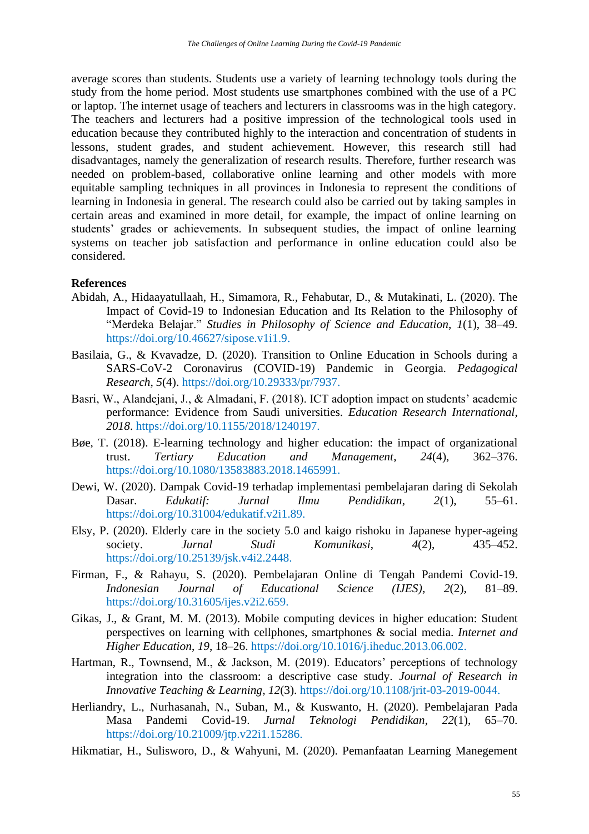average scores than students. Students use a variety of learning technology tools during the study from the home period. Most students use smartphones combined with the use of a PC or laptop. The internet usage of teachers and lecturers in classrooms was in the high category. The teachers and lecturers had a positive impression of the technological tools used in education because they contributed highly to the interaction and concentration of students in lessons, student grades, and student achievement. However, this research still had disadvantages, namely the generalization of research results. Therefore, further research was needed on problem-based, collaborative online learning and other models with more equitable sampling techniques in all provinces in Indonesia to represent the conditions of learning in Indonesia in general. The research could also be carried out by taking samples in certain areas and examined in more detail, for example, the impact of online learning on students' grades or achievements. In subsequent studies, the impact of online learning systems on teacher job satisfaction and performance in online education could also be considered.

### **References**

- Abidah, A., Hidaayatullaah, H., Simamora, R., Fehabutar, D., & Mutakinati, L. (2020). The Impact of Covid-19 to Indonesian Education and Its Relation to the Philosophy of "Merdeka Belajar." *Studies in Philosophy of Science and Education*, *1*(1), 38–49. https://doi.org/10.46627/sipose.v1i1.9.
- Basilaia, G., & Kvavadze, D. (2020). Transition to Online Education in Schools during a SARS-CoV-2 Coronavirus (COVID-19) Pandemic in Georgia. *Pedagogical Research*, *5*(4). https://doi.org/10.29333/pr/7937.
- Basri, W., Alandejani, J., & Almadani, F. (2018). ICT adoption impact on students' academic performance: Evidence from Saudi universities. *Education Research International*, *2018*. https://doi.org/10.1155/2018/1240197.
- Bøe, T. (2018). E-learning technology and higher education: the impact of organizational trust. *Tertiary Education and Management*, *24*(4), 362–376. https://doi.org/10.1080/13583883.2018.1465991.
- Dewi, W. (2020). Dampak Covid-19 terhadap implementasi pembelajaran daring di Sekolah Dasar. *Edukatif: Jurnal Ilmu Pendidikan*, *2*(1), 55–61. https://doi.org/10.31004/edukatif.v2i1.89.
- Elsy, P. (2020). Elderly care in the society 5.0 and kaigo rishoku in Japanese hyper-ageing society. *Jurnal Studi Komunikasi*, *4*(2), 435–452. https://doi.org/10.25139/jsk.v4i2.2448.
- Firman, F., & Rahayu, S. (2020). Pembelajaran Online di Tengah Pandemi Covid-19. *Indonesian Journal of Educational Science (IJES)*, *2*(2), 81–89. https://doi.org/10.31605/ijes.v2i2.659.
- Gikas, J., & Grant, M. M. (2013). Mobile computing devices in higher education: Student perspectives on learning with cellphones, smartphones & social media. *Internet and Higher Education*, *19*, 18–26. https://doi.org/10.1016/j.iheduc.2013.06.002.
- Hartman, R., Townsend, M., & Jackson, M. (2019). Educators' perceptions of technology integration into the classroom: a descriptive case study. *Journal of Research in Innovative Teaching & Learning*, *12*(3). https://doi.org/10.1108/jrit-03-2019-0044.
- Herliandry, L., Nurhasanah, N., Suban, M., & Kuswanto, H. (2020). Pembelajaran Pada Masa Pandemi Covid-19. *Jurnal Teknologi Pendidikan*, *22*(1), 65–70. https://doi.org/10.21009/jtp.v22i1.15286.
- Hikmatiar, H., Sulisworo, D., & Wahyuni, M. (2020). Pemanfaatan Learning Manegement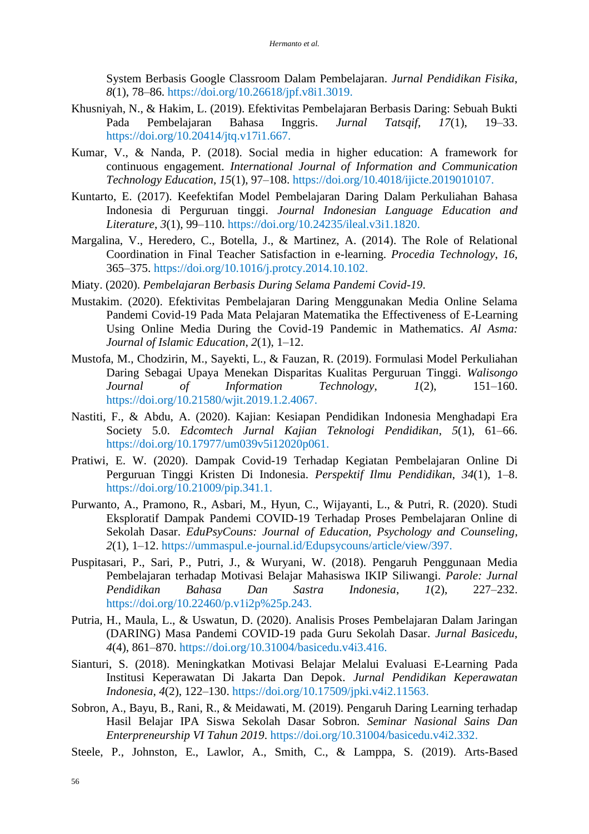System Berbasis Google Classroom Dalam Pembelajaran. *Jurnal Pendidikan Fisika*, *8*(1), 78–86. https://doi.org/10.26618/jpf.v8i1.3019.

- Khusniyah, N., & Hakim, L. (2019). Efektivitas Pembelajaran Berbasis Daring: Sebuah Bukti Pada Pembelajaran Bahasa Inggris. *Jurnal Tatsqif*, *17*(1), 19–33. https://doi.org/10.20414/jtq.v17i1.667.
- Kumar, V., & Nanda, P. (2018). Social media in higher education: A framework for continuous engagement. *International Journal of Information and Communication Technology Education*, *15*(1), 97–108. https://doi.org/10.4018/ijicte.2019010107.
- Kuntarto, E. (2017). Keefektifan Model Pembelajaran Daring Dalam Perkuliahan Bahasa Indonesia di Perguruan tinggi. *Journal Indonesian Language Education and Literature*, *3*(1), 99–110. https://doi.org/10.24235/ileal.v3i1.1820.
- Margalina, V., Heredero, C., Botella, J., & Martinez, A. (2014). The Role of Relational Coordination in Final Teacher Satisfaction in e-learning. *Procedia Technology*, *16*, 365–375. https://doi.org/10.1016/j.protcy.2014.10.102.
- Miaty. (2020). *Pembelajaran Berbasis During Selama Pandemi Covid-19*.
- Mustakim. (2020). Efektivitas Pembelajaran Daring Menggunakan Media Online Selama Pandemi Covid-19 Pada Mata Pelajaran Matematika the Effectiveness of E-Learning Using Online Media During the Covid-19 Pandemic in Mathematics. *Al Asma: Journal of Islamic Education*, *2*(1), 1–12.
- Mustofa, M., Chodzirin, M., Sayekti, L., & Fauzan, R. (2019). Formulasi Model Perkuliahan Daring Sebagai Upaya Menekan Disparitas Kualitas Perguruan Tinggi. *Walisongo Journal of Information Technology*, *1*(2), 151–160. https://doi.org/10.21580/wjit.2019.1.2.4067.
- Nastiti, F., & Abdu, A. (2020). Kajian: Kesiapan Pendidikan Indonesia Menghadapi Era Society 5.0. *Edcomtech Jurnal Kajian Teknologi Pendidikan*, *5*(1), 61–66. https://doi.org/10.17977/um039v5i12020p061.
- Pratiwi, E. W. (2020). Dampak Covid-19 Terhadap Kegiatan Pembelajaran Online Di Perguruan Tinggi Kristen Di Indonesia. *Perspektif Ilmu Pendidikan*, *34*(1), 1–8. https://doi.org/10.21009/pip.341.1.
- Purwanto, A., Pramono, R., Asbari, M., Hyun, C., Wijayanti, L., & Putri, R. (2020). Studi Eksploratif Dampak Pandemi COVID-19 Terhadap Proses Pembelajaran Online di Sekolah Dasar. *EduPsyCouns: Journal of Education, Psychology and Counseling*, *2*(1), 1–12. https://ummaspul.e-journal.id/Edupsycouns/article/view/397.
- Puspitasari, P., Sari, P., Putri, J., & Wuryani, W. (2018). Pengaruh Penggunaan Media Pembelajaran terhadap Motivasi Belajar Mahasiswa IKIP Siliwangi. *Parole: Jurnal Pendidikan Bahasa Dan Sastra Indonesia*, *1*(2), 227–232. https://doi.org/10.22460/p.v1i2p%25p.243.
- Putria, H., Maula, L., & Uswatun, D. (2020). Analisis Proses Pembelajaran Dalam Jaringan (DARING) Masa Pandemi COVID-19 pada Guru Sekolah Dasar. *Jurnal Basicedu*, *4*(4), 861–870. https://doi.org/10.31004/basicedu.v4i3.416.
- Sianturi, S. (2018). Meningkatkan Motivasi Belajar Melalui Evaluasi E-Learning Pada Institusi Keperawatan Di Jakarta Dan Depok. *Jurnal Pendidikan Keperawatan Indonesia*, *4*(2), 122–130. https://doi.org/10.17509/jpki.v4i2.11563.
- Sobron, A., Bayu, B., Rani, R., & Meidawati, M. (2019). Pengaruh Daring Learning terhadap Hasil Belajar IPA Siswa Sekolah Dasar Sobron. *Seminar Nasional Sains Dan Enterpreneurship VI Tahun 2019*. https://doi.org/10.31004/basicedu.v4i2.332.
- Steele, P., Johnston, E., Lawlor, A., Smith, C., & Lamppa, S. (2019). Arts-Based